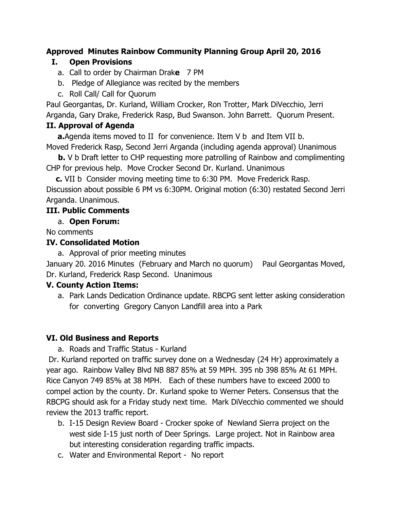# **Approved Minutes Rainbow Community Planning Group April 20, 2016**

### **I. Open Provisions**

- a. Call to order by Chairman Drak**e**7 PM
- b. Pledge of Allegiance was recited by the members
- c. Roll Call/ Call for Quorum

Paul Georgantas, Dr. Kurland, William Crocker, Ron Trotter, Mark DiVecchio, Jerri Arganda, Gary Drake, Frederick Rasp, Bud Swanson. John Barrett. Quorum Present.

### **II. Approval of Agenda**

**a.**Agenda items moved to II for convenience. Item V b and Item VII b. Moved Frederick Rasp, Second Jerri Arganda (including agenda approval) Unanimous

**b.**V b Draft letter to CHP requesting more patrolling of Rainbow and complimenting CHP for previous help. Move Crocker Second Dr. Kurland. Unanimous

**c.**VII b Consider moving meeting time to 6:30 PM. Move Frederick Rasp. Discussion about possible 6 PM vs 6:30PM. Original motion (6:30) restated Second Jerri Arganda. Unanimous.

## **III. Public Comments**

### a. **Open Forum:**

No comments

#### **IV. Consolidated Motion**

a. Approval of prior meeting minutes

January 20. 2016 Minutes (February and March no quorum) Paul Georgantas Moved, Dr. Kurland, Frederick Rasp Second. Unanimous

#### **V.County Action Items:**

a. Park Lands Dedication Ordinance update. RBCPG sent letter asking consideration for converting Gregory Canyon Landfill area into a Park

### **VI. Old Business and Reports**

#### a. Roads and Traffic Status - Kurland

Dr. Kurland reported on traffic survey done on a Wednesday (24 Hr) approximately a year ago. Rainbow Valley Blvd NB 887 85% at 59 MPH. 395 nb 398 85% At 61 MPH. Rice Canyon 749 85% at 38 MPH. Each of these numbers have to exceed 2000 to compel action by the county. Dr. Kurland spoke to Werner Peters. Consensus that the RBCPG should ask for a Friday study next time. Mark DiVecchio commented we should review the 2013 traffic report.

- b. I-15 Design Review Board Crocker spoke of Newland Sierra project on the west side I-15 just north of Deer Springs. Large project. Not in Rainbow area but interesting consideration regarding traffic impacts.
- c. Water and Environmental Report No report